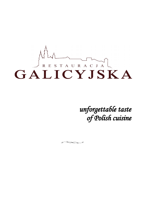

*unforgettable taste of Polish cuisine*

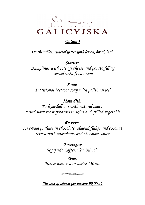

### *Option I*

*On the tables: mineral water with lemon, bread, lard* 

*Starter: Dumplings with cottage cheese and potato filling served with fried onion*

## *Soup:*

*Traditional beetroot soup with polish ravioli*

# *Main dish:*

*Pork medallions with natural sauce served with roast potatoes in skins and grilled vegetable*

#### *Dessert:*

*Ice cream pralines in chocolate, almond flakes and coconut served with strawberry and chocolate sauce*

> *Beverages: Segafredo Coffee, Tea Dilmah,*

*Wine: House wine red or white 150 ml* 



## *The cost of dinner per person: 90,00 zł*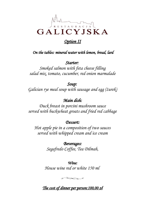

### *Option II*

 *On the tables: mineral water with lemon, bread, lard*

*Starter: Smoked salmon with feta cheese filling salad mix, tomato, cucumber, red onion marmalade*

### *Soup:*

*Galician rye meal soup with sausage and egg (żurek)*

## *Main dish:*

*Duck breast in porcini mushroom sauce served with buckwheat groats and fried red cabbage*

#### *Dessert:*

*Hot apple pie in a composition of two sauces served with whipped cream and ice cream*

> *Beverages: Segafredo Coffee, Tea Dilmah,*

*Wine: House wine red or white 150 ml* 

 $\bigotimes\bigotimes\bigotimes\bigotimes\bigotimes\mathcal{C}$ 

 *The cost of dinner per person: 100,00 zł*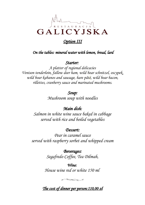

### *Option III*

 *On the tables: mineral water with lemon, bread, lard*

#### *Starter:*

*A platter of regional delicacies Venison tenderloin, fallow deer ham, wild boar schnitzel, oscypek, wild boar kabanos and sausage, hare pâté, wild boar bacon, rillettes, cranberry sauce and marinated mushrooms.*

### *Soup:*

*Mushroom soup with noodles*

## *Main dish:*

*Salmon in white wine sauce baked in cabbage served with rice and boiled vegetables*

#### *Dessert:*

*Pear in caramel sauce served with raspberry sorbet and whipped cream*

> *Beverages: Segafredo Coffee, Tea Dilmah,*

*Wine: House wine red or white 150 ml* 

**RANCE** 

 *The cost of dinner per person: 110,00 zł*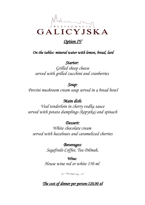

### *Option IV*

 *On the tables: mineral water with lemon, bread, lard*

*Starter: Grilled sheep cheese served with grilled zucchini and cranberries* 

#### *Soup:*

*Porcini mushroom cream soup served in a bread bowl*

 *Main dish:* 

*Veal tenderloin in cherry vodka sauce served with potato dumplings (kopytka) and spinach*

*Dessert:*

*White chocolate cream served with hazelnuts and caramelized cherries*

> *Beverages: Segafredo Coffee, Tea Dilmah,*

*Wine: House wine red or white 150 ml* 



 *The cost of dinner per person: 120,00 zł*